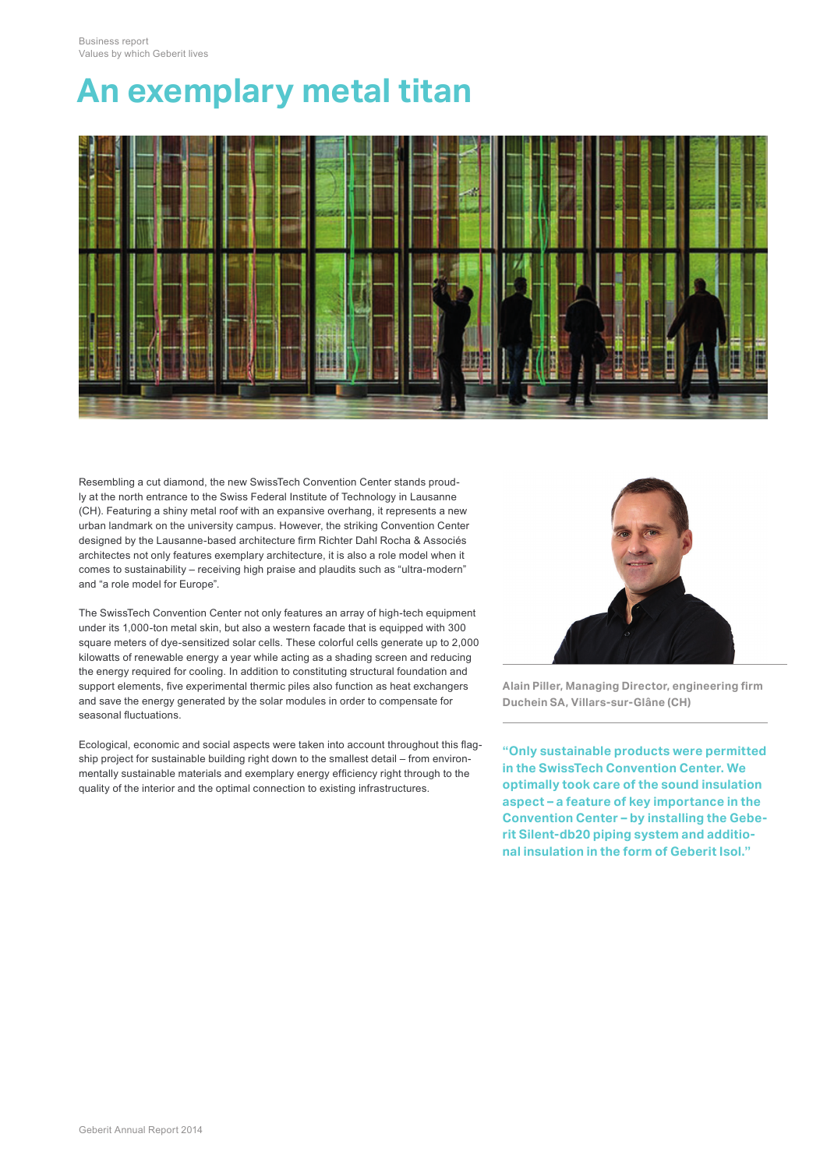## **An exemplary metal titan**



Resembling a cut diamond, the new SwissTech Convention Center stands proudly at the north entrance to the Swiss Federal Institute of Technology in Lausanne (CH). Featuring a shiny metal roof with an expansive overhang, it represents a new urban landmark on the university campus. However, the striking Convention Center designed by the Lausanne-based architecture firm Richter Dahl Rocha & Associés architectes not only features exemplary architecture, it is also a role model when it comes to sustainability – receiving high praise and plaudits such as "ultra-modern" and "a role model for Europe".

The SwissTech Convention Center not only features an array of high-tech equipment under its 1,000-ton metal skin, but also a western facade that is equipped with 300 square meters of dye-sensitized solar cells. These colorful cells generate up to 2,000 kilowatts of renewable energy a year while acting as a shading screen and reducing the energy required for cooling. In addition to constituting structural foundation and support elements, five experimental thermic piles also function as heat exchangers and save the energy generated by the solar modules in order to compensate for seasonal fluctuations.

Ecological, economic and social aspects were taken into account throughout this flagship project for sustainable building right down to the smallest detail – from environmentally sustainable materials and exemplary energy efficiency right through to the quality of the interior and the optimal connection to existing infrastructures.



**Alain Piller, Managing Director, engineering firm Duchein SA, Villars-sur-Glâne (CH)**

**"Only sustainable products were permitted in the SwissTech Convention Center. We optimally took care of the sound insulation aspect – a feature of key importance in the Convention Center – by installing the Geberit Silent-db20 piping system and additional insulation in the form of Geberit Isol."**